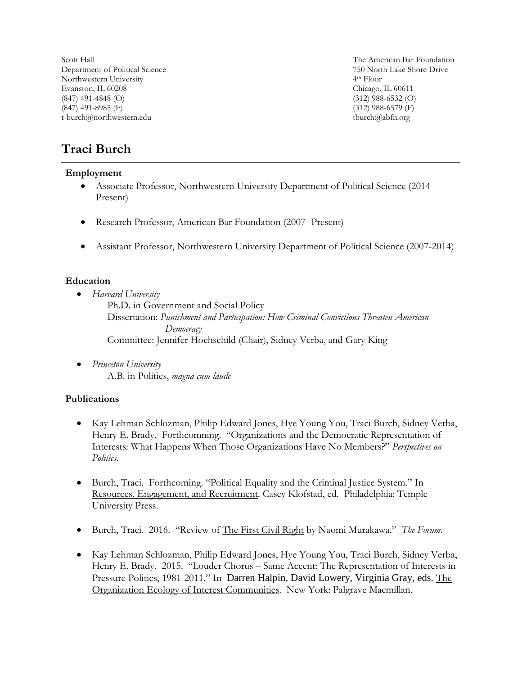Scott Hall Department of Political Science Northwestern University Evanston, IL 60208 (847) 491-4848 (O) (847) 491-8985 (F) t-burch@northwestern.edu

The American Bar Foundation 750 North Lake Shore Drive 4th Floor Chicago, IL 60611 (312) 988-6532 (O) (312) 988-6579 (F) tburch@abfn.org

# **Traci Burch**

#### **Employment**

- Associate Professor, Northwestern University Department of Political Science (2014- Present)
- Research Professor, American Bar Foundation (2007- Present)
- Assistant Professor, Northwestern University Department of Political Science (2007-2014)

#### **Education**

• *Harvard University*

Ph.D. in Government and Social Policy Dissertation: *Punishment and Participation: How Criminal Convictions Threaten American Democracy* Committee: Jennifer Hochschild (Chair), Sidney Verba, and Gary King

• *Princeton University* A.B. in Politics, *magna cum laude*

## **Publications**

- Kay Lehman Schlozman, Philip Edward Jones, Hye Young You, Traci Burch, Sidney Verba, Henry E. Brady. Forthcomning. "Organizations and the Democratic Representation of Interests: What Happens When Those Organizations Have No Members?" *Perspectives on Politics*.
- Burch, Traci. Forthcoming. "Political Equality and the Criminal Justice System." In Resources, Engagement, and Recruitment. Casey Klofstad, ed. Philadelphia: Temple University Press.
- Burch, Traci. 2016. "Review of The First Civil Right by Naomi Murakawa." *The Forum.*
- Kay Lehman Schlozman, Philip Edward Jones, Hye Young You, Traci Burch, Sidney Verba, Henry E. Brady. 2015. "Louder Chorus – Same Accent: The Representation of Interests in Pressure Politics, 1981-2011." In Darren Halpin, David Lowery, Virginia Gray, eds. The Organization Ecology of Interest Communities. New York: Palgrave Macmillan.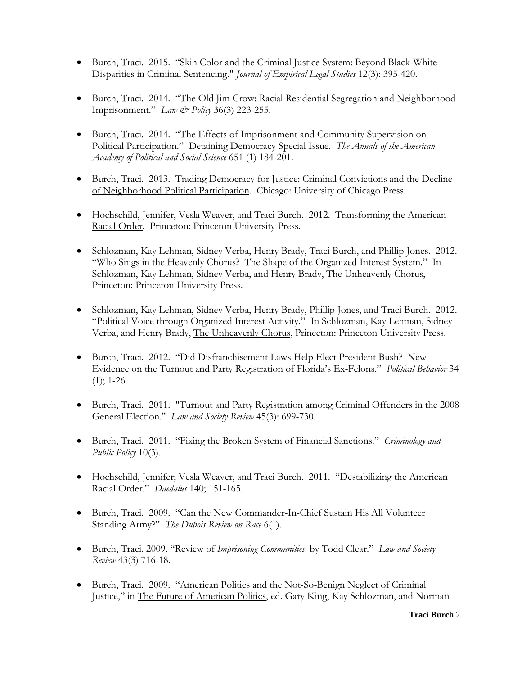- Burch, Traci. 2015. "Skin Color and the Criminal Justice System: Beyond Black-White Disparities in Criminal Sentencing." *Journal of Empirical Legal Studies* 12(3): 395-420.
- Burch, Traci. 2014. "The Old Jim Crow: Racial Residential Segregation and Neighborhood Imprisonment." *Law & Policy* 36(3) 223-255.
- Burch, Traci. 2014. "The Effects of Imprisonment and Community Supervision on Political Participation." Detaining Democracy Special Issue. *The Annals of the American Academy of Political and Social Science* 651 (1) 184-201.
- Burch, Traci. 2013. Trading Democracy for Justice: Criminal Convictions and the Decline of Neighborhood Political Participation. Chicago: University of Chicago Press.
- Hochschild, Jennifer, Vesla Weaver, and Traci Burch. 2012. Transforming the American Racial Order. Princeton: Princeton University Press.
- Schlozman, Kay Lehman, Sidney Verba, Henry Brady, Traci Burch, and Phillip Jones. 2012. "Who Sings in the Heavenly Chorus? The Shape of the Organized Interest System." In Schlozman, Kay Lehman, Sidney Verba, and Henry Brady, The Unheavenly Chorus, Princeton: Princeton University Press.
- Schlozman, Kay Lehman, Sidney Verba, Henry Brady, Phillip Jones, and Traci Burch. 2012. "Political Voice through Organized Interest Activity." In Schlozman, Kay Lehman, Sidney Verba, and Henry Brady, The Unheavenly Chorus, Princeton: Princeton University Press.
- Burch, Traci. 2012. "Did Disfranchisement Laws Help Elect President Bush? New Evidence on the Turnout and Party Registration of Florida's Ex-Felons." *Political Behavior* 34  $(1)$ ; 1-26.
- Burch, Traci. 2011. "Turnout and Party Registration among Criminal Offenders in the 2008 General Election." *Law and Society Review* 45(3): 699-730.
- Burch, Traci. 2011. "Fixing the Broken System of Financial Sanctions." *Criminology and Public Policy* 10(3).
- Hochschild, Jennifer; Vesla Weaver, and Traci Burch. 2011. "Destabilizing the American Racial Order." *Daedalus* 140; 151-165.
- Burch, Traci. 2009. "Can the New Commander-In-Chief Sustain His All Volunteer Standing Army?" *The Dubois Review on Race* 6(1).
- Burch, Traci. 2009. "Review of *Imprisoning Communities,* by Todd Clear." *Law and Society Review* 43(3) 716-18.
- Burch, Traci. 2009. "American Politics and the Not-So-Benign Neglect of Criminal Justice," in The Future of American Politics, ed. Gary King, Kay Schlozman, and Norman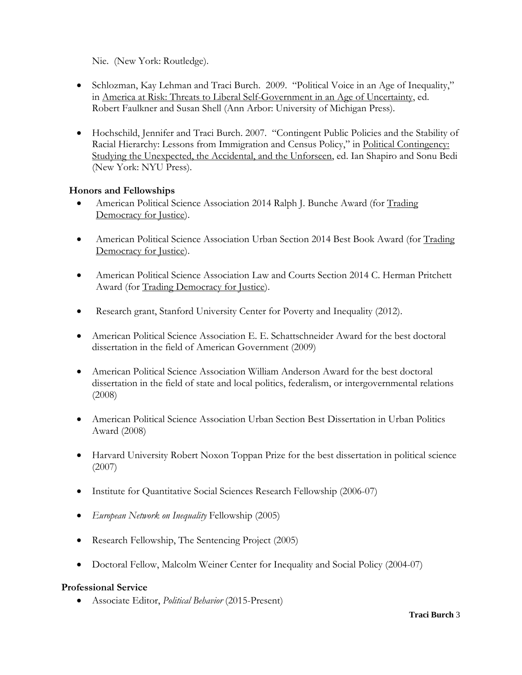Nie. (New York: Routledge).

- Schlozman, Kay Lehman and Traci Burch. 2009. "Political Voice in an Age of Inequality," in America at Risk: Threats to Liberal Self-Government in an Age of Uncertainty, ed. Robert Faulkner and Susan Shell (Ann Arbor: University of Michigan Press).
- Hochschild, Jennifer and Traci Burch. 2007. "Contingent Public Policies and the Stability of Racial Hierarchy: Lessons from Immigration and Census Policy," in Political Contingency: Studying the Unexpected, the Accidental, and the Unforseen, ed. Ian Shapiro and Sonu Bedi (New York: NYU Press).

# **Honors and Fellowships**

- American Political Science Association 2014 Ralph J. Bunche Award (for Trading Democracy for Justice).
- American Political Science Association Urban Section 2014 Best Book Award (for Trading Democracy for Justice).
- American Political Science Association Law and Courts Section 2014 C. Herman Pritchett Award (for Trading Democracy for Justice).
- Research grant, Stanford University Center for Poverty and Inequality (2012).
- American Political Science Association E. E. Schattschneider Award for the best doctoral dissertation in the field of American Government (2009)
- American Political Science Association William Anderson Award for the best doctoral dissertation in the field of state and local politics, federalism, or intergovernmental relations (2008)
- American Political Science Association Urban Section Best Dissertation in Urban Politics Award (2008)
- Harvard University Robert Noxon Toppan Prize for the best dissertation in political science (2007)
- Institute for Quantitative Social Sciences Research Fellowship (2006-07)
- *European Network on Inequality* Fellowship (2005)
- Research Fellowship, The Sentencing Project (2005)
- Doctoral Fellow, Malcolm Weiner Center for Inequality and Social Policy (2004-07)

## **Professional Service**

• Associate Editor, *Political Behavior* (2015-Present)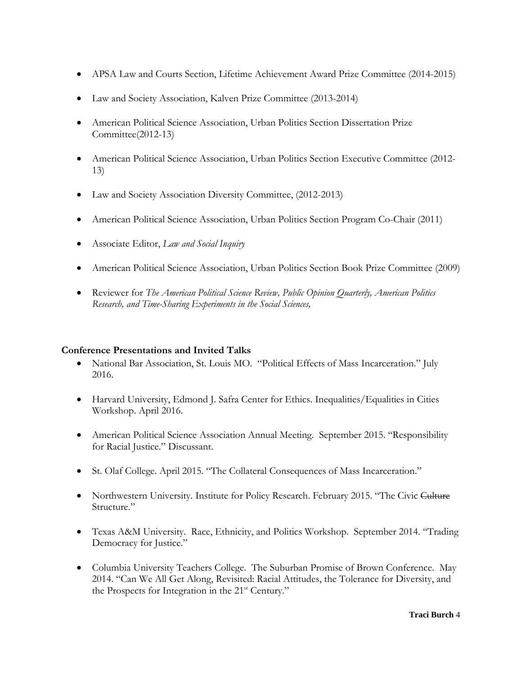- APSA Law and Courts Section, Lifetime Achievement Award Prize Committee (2014-2015)
- Law and Society Association, Kalven Prize Committee (2013-2014)
- American Political Science Association, Urban Politics Section Dissertation Prize Committee(2012-13)
- American Political Science Association, Urban Politics Section Executive Committee (2012- 13)
- Law and Society Association Diversity Committee, (2012-2013)
- American Political Science Association, Urban Politics Section Program Co-Chair (2011)
- Associate Editor, *Law and Social Inquiry*
- American Political Science Association, Urban Politics Section Book Prize Committee (2009)
- Reviewer for *The American Political Science Review, Public Opinion Quarterly, American Politics Research, and Time-Sharing Experiments in the Social Sciences,*

## **Conference Presentations and Invited Talks**

- National Bar Association, St. Louis MO. "Political Effects of Mass Incarceration." July 2016.
- Harvard University, Edmond J. Safra Center for Ethics. Inequalities/Equalities in Cities Workshop. April 2016.
- American Political Science Association Annual Meeting. September 2015. "Responsibility for Racial Justice." Discussant.
- St. Olaf College. April 2015. "The Collateral Consequences of Mass Incarceration."
- Northwestern University. Institute for Policy Research. February 2015. "The Civic Culture Structure."
- Texas A&M University. Race, Ethnicity, and Politics Workshop. September 2014. "Trading Democracy for Justice."
- Columbia University Teachers College. The Suburban Promise of Brown Conference. May 2014. "Can We All Get Along, Revisited: Racial Attitudes, the Tolerance for Diversity, and the Prospects for Integration in the 21<sup>st</sup> Century."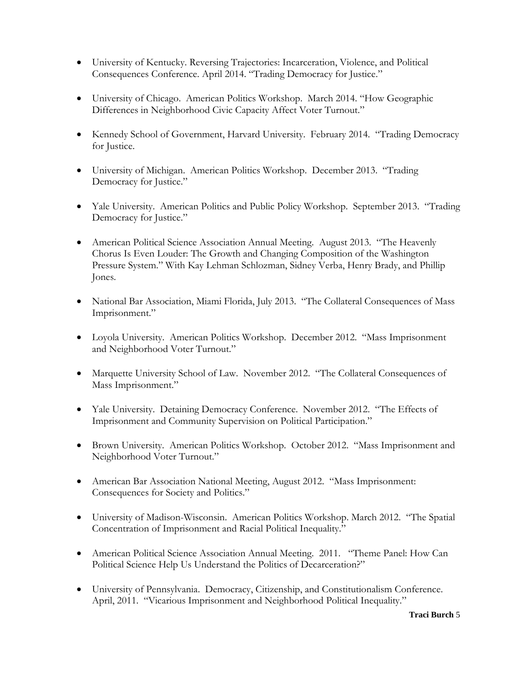- University of Kentucky. Reversing Trajectories: Incarceration, Violence, and Political Consequences Conference. April 2014. "Trading Democracy for Justice."
- University of Chicago. American Politics Workshop. March 2014. "How Geographic Differences in Neighborhood Civic Capacity Affect Voter Turnout."
- Kennedy School of Government, Harvard University. February 2014. "Trading Democracy for Justice.
- University of Michigan. American Politics Workshop. December 2013. "Trading Democracy for Justice."
- Yale University. American Politics and Public Policy Workshop. September 2013. "Trading Democracy for Justice."
- American Political Science Association Annual Meeting. August 2013. "The Heavenly Chorus Is Even Louder: The Growth and Changing Composition of the Washington Pressure System." With Kay Lehman Schlozman, Sidney Verba, Henry Brady, and Phillip Jones.
- National Bar Association, Miami Florida, July 2013. "The Collateral Consequences of Mass Imprisonment."
- Loyola University. American Politics Workshop. December 2012. "Mass Imprisonment and Neighborhood Voter Turnout."
- Marquette University School of Law. November 2012. "The Collateral Consequences of Mass Imprisonment."
- Yale University. Detaining Democracy Conference. November 2012. "The Effects of Imprisonment and Community Supervision on Political Participation."
- Brown University. American Politics Workshop. October 2012. "Mass Imprisonment and Neighborhood Voter Turnout."
- American Bar Association National Meeting, August 2012. "Mass Imprisonment: Consequences for Society and Politics."
- University of Madison-Wisconsin. American Politics Workshop. March 2012. "The Spatial Concentration of Imprisonment and Racial Political Inequality."
- American Political Science Association Annual Meeting. 2011. "Theme Panel: How Can Political Science Help Us Understand the Politics of Decarceration?"
- University of Pennsylvania. Democracy, Citizenship, and Constitutionalism Conference. April, 2011. "Vicarious Imprisonment and Neighborhood Political Inequality."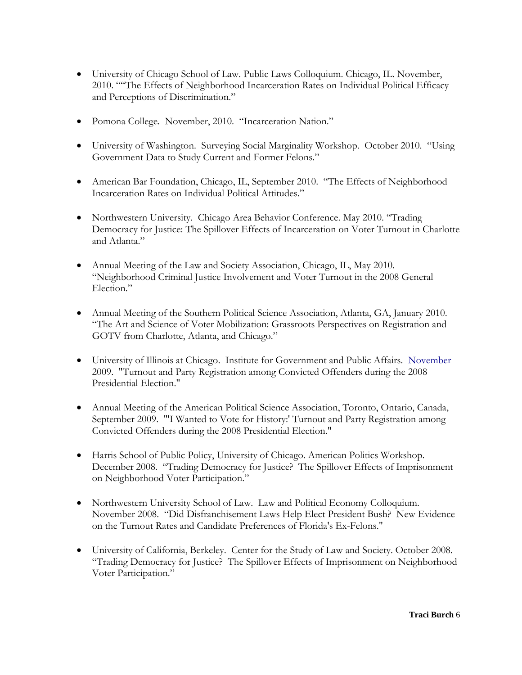- University of Chicago School of Law. Public Laws Colloquium. Chicago, IL. November, 2010. ""The Effects of Neighborhood Incarceration Rates on Individual Political Efficacy and Perceptions of Discrimination."
- Pomona College. November, 2010. "Incarceration Nation."
- University of Washington. Surveying Social Marginality Workshop. October 2010. "Using Government Data to Study Current and Former Felons."
- American Bar Foundation, Chicago, IL, September 2010. "The Effects of Neighborhood Incarceration Rates on Individual Political Attitudes."
- Northwestern University. Chicago Area Behavior Conference. May 2010. "Trading Democracy for Justice: The Spillover Effects of Incarceration on Voter Turnout in Charlotte and Atlanta."
- Annual Meeting of the Law and Society Association, Chicago, IL, May 2010. "Neighborhood Criminal Justice Involvement and Voter Turnout in the 2008 General Election."
- Annual Meeting of the Southern Political Science Association, Atlanta, GA, January 2010. "The Art and Science of Voter Mobilization: Grassroots Perspectives on Registration and GOTV from Charlotte, Atlanta, and Chicago."
- University of Illinois at Chicago. Institute for Government and Public Affairs. November 2009. "Turnout and Party Registration among Convicted Offenders during the 2008 Presidential Election."
- Annual Meeting of the American Political Science Association, Toronto, Ontario, Canada, September 2009. "'I Wanted to Vote for History:' Turnout and Party Registration among Convicted Offenders during the 2008 Presidential Election."
- Harris School of Public Policy, University of Chicago. American Politics Workshop. December 2008. "Trading Democracy for Justice? The Spillover Effects of Imprisonment on Neighborhood Voter Participation."
- Northwestern University School of Law. Law and Political Economy Colloquium. November 2008. "Did Disfranchisement Laws Help Elect President Bush? New Evidence on the Turnout Rates and Candidate Preferences of Florida's Ex-Felons."
- University of California, Berkeley. Center for the Study of Law and Society. October 2008. "Trading Democracy for Justice? The Spillover Effects of Imprisonment on Neighborhood Voter Participation."